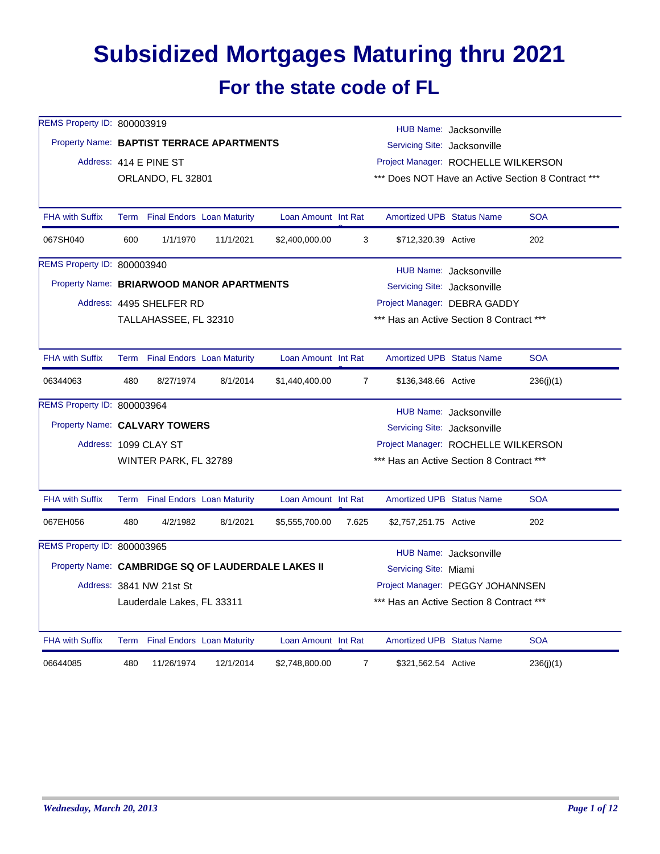## **Subsidized Mortgages Maturing thru 2021 For the state code of FL**

| REMS Property ID: 800003919   |                          |                                 |                                                    |                     | HUB Name: Jacksonville |                                                    |                        |            |  |  |
|-------------------------------|--------------------------|---------------------------------|----------------------------------------------------|---------------------|------------------------|----------------------------------------------------|------------------------|------------|--|--|
|                               |                          |                                 | Property Name: BAPTIST TERRACE APARTMENTS          |                     |                        | Servicing Site: Jacksonville                       |                        |            |  |  |
|                               |                          | Address: 414 E PINE ST          |                                                    |                     |                        | Project Manager: ROCHELLE WILKERSON                |                        |            |  |  |
|                               |                          | ORLANDO, FL 32801               |                                                    |                     |                        | *** Does NOT Have an Active Section 8 Contract *** |                        |            |  |  |
| <b>FHA with Suffix</b>        |                          | Term Final Endors Loan Maturity |                                                    | Loan Amount Int Rat |                        | Amortized UPB Status Name                          |                        | <b>SOA</b> |  |  |
| 067SH040                      | 600                      | 1/1/1970                        | 11/1/2021                                          | \$2,400,000.00      | 3                      | \$712,320.39 Active                                |                        | 202        |  |  |
| REMS Property ID: 800003940   |                          |                                 |                                                    |                     |                        |                                                    | HUB Name: Jacksonville |            |  |  |
|                               |                          |                                 | Property Name: BRIARWOOD MANOR APARTMENTS          |                     |                        | Servicing Site: Jacksonville                       |                        |            |  |  |
|                               |                          | Address: 4495 SHELFER RD        |                                                    |                     |                        | Project Manager: DEBRA GADDY                       |                        |            |  |  |
|                               |                          | TALLAHASSEE, FL 32310           |                                                    |                     |                        | *** Has an Active Section 8 Contract ***           |                        |            |  |  |
| <b>FHA with Suffix</b>        |                          | Term Final Endors Loan Maturity |                                                    | Loan Amount Int Rat |                        | <b>Amortized UPB Status Name</b>                   |                        | <b>SOA</b> |  |  |
| 06344063                      | 480                      | 8/27/1974                       | 8/1/2014                                           | \$1,440,400.00      | $\overline{7}$         | \$136,348.66 Active                                |                        | 236(j)(1)  |  |  |
| REMS Property ID: 800003964   |                          |                                 |                                                    |                     |                        |                                                    | HUB Name: Jacksonville |            |  |  |
| Property Name: CALVARY TOWERS |                          |                                 |                                                    |                     |                        | Servicing Site: Jacksonville                       |                        |            |  |  |
|                               |                          | Address: 1099 CLAY ST           |                                                    |                     |                        | Project Manager: ROCHELLE WILKERSON                |                        |            |  |  |
|                               |                          | WINTER PARK, FL 32789           |                                                    |                     |                        | *** Has an Active Section 8 Contract ***           |                        |            |  |  |
| <b>FHA with Suffix</b>        |                          | Term Final Endors Loan Maturity |                                                    | Loan Amount Int Rat |                        | Amortized UPB Status Name                          |                        | <b>SOA</b> |  |  |
| 067EH056                      | 480                      | 4/2/1982                        | 8/1/2021                                           | \$5,555,700.00      | 7.625                  | \$2,757,251.75 Active                              |                        | 202        |  |  |
| REMS Property ID: 800003965   |                          |                                 |                                                    |                     |                        |                                                    | HUB Name: Jacksonville |            |  |  |
|                               |                          |                                 | Property Name: CAMBRIDGE SQ OF LAUDERDALE LAKES II |                     |                        | Servicing Site: Miami                              |                        |            |  |  |
|                               | Address: 3841 NW 21st St |                                 |                                                    |                     |                        | Project Manager: PEGGY JOHANNSEN                   |                        |            |  |  |
|                               |                          | Lauderdale Lakes, FL 33311      |                                                    |                     |                        | *** Has an Active Section 8 Contract ***           |                        |            |  |  |
| <b>FHA with Suffix</b>        |                          | Term Final Endors Loan Maturity |                                                    | Loan Amount Int Rat |                        | <b>Amortized UPB Status Name</b>                   |                        | <b>SOA</b> |  |  |
| 06644085                      | 480                      | 11/26/1974                      | 12/1/2014                                          | \$2,748,800.00      | $\overline{7}$         | \$321,562.54 Active                                |                        | 236(j)(1)  |  |  |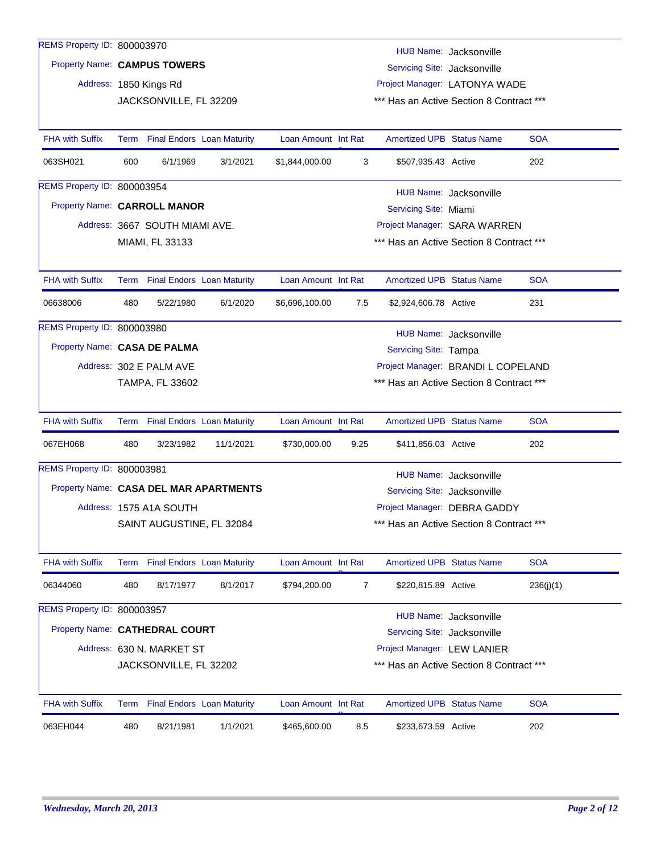| REMS Property ID: 800003970    |                                                               |                                |                                        |                     |                                          |                                          | HUB Name: Jacksonville       |            |
|--------------------------------|---------------------------------------------------------------|--------------------------------|----------------------------------------|---------------------|------------------------------------------|------------------------------------------|------------------------------|------------|
| Property Name: CAMPUS TOWERS   |                                                               |                                |                                        |                     |                                          | Servicing Site: Jacksonville             |                              |            |
|                                |                                                               | Address: 1850 Kings Rd         |                                        |                     |                                          | Project Manager: LATONYA WADE            |                              |            |
|                                |                                                               | JACKSONVILLE, FL 32209         |                                        |                     |                                          | *** Has an Active Section 8 Contract *** |                              |            |
|                                |                                                               |                                |                                        |                     |                                          |                                          |                              |            |
| <b>FHA with Suffix</b>         |                                                               |                                | Term Final Endors Loan Maturity        | Loan Amount Int Rat |                                          | <b>Amortized UPB Status Name</b>         |                              | <b>SOA</b> |
| 063SH021                       | 600                                                           | 6/1/1969                       | 3/1/2021                               | \$1,844,000.00      | 3                                        | \$507,935.43 Active                      |                              | 202        |
| REMS Property ID: 800003954    |                                                               |                                |                                        |                     |                                          |                                          | HUB Name: Jacksonville       |            |
| Property Name: CARROLL MANOR   |                                                               |                                |                                        |                     |                                          | Servicing Site: Miami                    |                              |            |
|                                |                                                               | Address: 3667 SOUTH MIAMI AVE. |                                        |                     |                                          | Project Manager: SARA WARREN             |                              |            |
|                                |                                                               | MIAMI, FL 33133                |                                        |                     |                                          | *** Has an Active Section 8 Contract *** |                              |            |
|                                |                                                               |                                |                                        |                     |                                          |                                          |                              |            |
| <b>FHA with Suffix</b>         |                                                               |                                | Term Final Endors Loan Maturity        | Loan Amount Int Rat |                                          | <b>Amortized UPB Status Name</b>         |                              | <b>SOA</b> |
| 06638006                       | 480                                                           | 5/22/1980                      | 6/1/2020                               | \$6,696,100.00      | 7.5                                      | \$2,924,606.78 Active                    |                              | 231        |
| REMS Property ID: 800003980    |                                                               |                                |                                        |                     |                                          |                                          | HUB Name: Jacksonville       |            |
| Property Name: CASA DE PALMA   |                                                               |                                |                                        |                     |                                          | Servicing Site: Tampa                    |                              |            |
|                                | Project Manager: BRANDI L COPELAND<br>Address: 302 E PALM AVE |                                |                                        |                     |                                          |                                          |                              |            |
|                                |                                                               | <b>TAMPA, FL 33602</b>         |                                        |                     | *** Has an Active Section 8 Contract *** |                                          |                              |            |
|                                |                                                               |                                |                                        |                     |                                          |                                          |                              |            |
| <b>FHA with Suffix</b>         |                                                               |                                | Term Final Endors Loan Maturity        | Loan Amount Int Rat |                                          | <b>Amortized UPB Status Name</b>         |                              | <b>SOA</b> |
| 067EH068                       | 480                                                           | 3/23/1982                      | 11/1/2021                              | \$730,000.00        | 9.25                                     | \$411,856.03 Active                      |                              | 202        |
| REMS Property ID: 800003981    |                                                               |                                |                                        |                     |                                          |                                          | HUB Name: Jacksonville       |            |
|                                |                                                               |                                | Property Name: CASA DEL MAR APARTMENTS |                     |                                          | Servicing Site: Jacksonville             |                              |            |
|                                |                                                               | Address: 1575 A1A SOUTH        |                                        |                     |                                          |                                          | Project Manager: DEBRA GADDY |            |
|                                |                                                               | SAINT AUGUSTINE, FL 32084      |                                        |                     |                                          | *** Has an Active Section 8 Contract *** |                              |            |
|                                |                                                               |                                |                                        |                     |                                          |                                          |                              |            |
| <b>FHA with Suffix</b>         |                                                               |                                | Term Final Endors Loan Maturity        | Loan Amount Int Rat |                                          | Amortized UPB Status Name                |                              | <b>SOA</b> |
| 06344060                       | 480                                                           | 8/17/1977                      | 8/1/2017                               | \$794,200.00        | $\overline{7}$                           | \$220,815.89 Active                      |                              | 236(j)(1)  |
| REMS Property ID: 800003957    |                                                               |                                |                                        |                     |                                          |                                          | HUB Name: Jacksonville       |            |
| Property Name: CATHEDRAL COURT |                                                               |                                |                                        |                     |                                          | Servicing Site: Jacksonville             |                              |            |
|                                |                                                               | Address: 630 N. MARKET ST      |                                        |                     |                                          | Project Manager: LEW LANIER              |                              |            |
|                                |                                                               | JACKSONVILLE, FL 32202         |                                        |                     |                                          | *** Has an Active Section 8 Contract *** |                              |            |
|                                |                                                               |                                |                                        |                     |                                          |                                          |                              |            |
| <b>FHA with Suffix</b>         |                                                               |                                | Term Final Endors Loan Maturity        | Loan Amount Int Rat |                                          | <b>Amortized UPB Status Name</b>         |                              | <b>SOA</b> |
| 063EH044                       | 480                                                           | 8/21/1981                      | 1/1/2021                               | \$465,600.00        | 8.5                                      | \$233,673.59 Active                      |                              | 202        |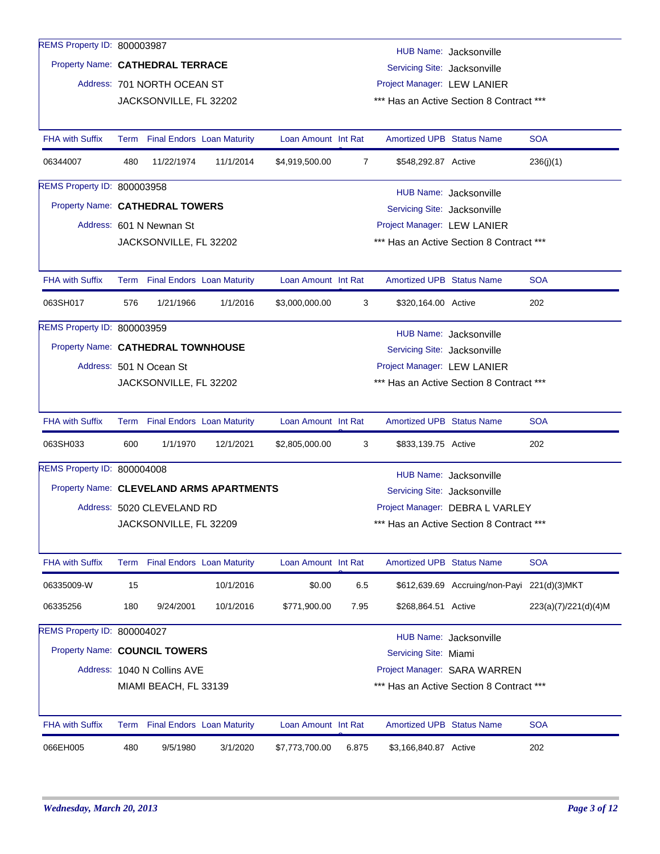| REMS Property ID: 800003987              |     |                                 |                                 |                     |                |                                  | HUB Name: Jacksonville                      |                      |  |  |
|------------------------------------------|-----|---------------------------------|---------------------------------|---------------------|----------------|----------------------------------|---------------------------------------------|----------------------|--|--|
| Property Name: CATHEDRAL TERRACE         |     |                                 |                                 |                     |                | Servicing Site: Jacksonville     |                                             |                      |  |  |
|                                          |     | Address: 701 NORTH OCEAN ST     |                                 |                     |                | Project Manager: LEW LANIER      |                                             |                      |  |  |
|                                          |     | JACKSONVILLE, FL 32202          |                                 |                     |                |                                  | *** Has an Active Section 8 Contract ***    |                      |  |  |
|                                          |     |                                 |                                 |                     |                |                                  |                                             |                      |  |  |
| <b>FHA with Suffix</b>                   |     | Term Final Endors Loan Maturity |                                 | Loan Amount Int Rat |                | <b>Amortized UPB Status Name</b> |                                             | <b>SOA</b>           |  |  |
| 06344007                                 | 480 | 11/22/1974                      | 11/1/2014                       | \$4,919,500.00      | $\overline{7}$ | \$548,292.87 Active              |                                             | 236(i)(1)            |  |  |
| <b>REMS Property ID: 800003958</b>       |     |                                 |                                 |                     |                |                                  | HUB Name: Jacksonville                      |                      |  |  |
| Property Name: CATHEDRAL TOWERS          |     |                                 |                                 |                     |                | Servicing Site: Jacksonville     |                                             |                      |  |  |
|                                          |     | Address: 601 N Newnan St        |                                 |                     |                | Project Manager: LEW LANIER      |                                             |                      |  |  |
|                                          |     | JACKSONVILLE, FL 32202          |                                 |                     |                |                                  | *** Has an Active Section 8 Contract ***    |                      |  |  |
|                                          |     |                                 |                                 |                     |                |                                  |                                             |                      |  |  |
| <b>FHA with Suffix</b>                   |     | Term Final Endors Loan Maturity |                                 | Loan Amount Int Rat |                | <b>Amortized UPB Status Name</b> |                                             | <b>SOA</b>           |  |  |
| 063SH017                                 | 576 | 1/21/1966                       | 1/1/2016                        | \$3,000,000.00      | 3              | \$320,164.00 Active              |                                             | 202                  |  |  |
| <b>REMS Property ID: 800003959</b>       |     |                                 |                                 |                     |                |                                  | HUB Name: Jacksonville                      |                      |  |  |
| Property Name: CATHEDRAL TOWNHOUSE       |     |                                 |                                 |                     |                | Servicing Site: Jacksonville     |                                             |                      |  |  |
|                                          |     | Address: 501 N Ocean St         |                                 |                     |                | Project Manager: LEW LANIER      |                                             |                      |  |  |
|                                          |     | JACKSONVILLE, FL 32202          |                                 |                     |                |                                  | *** Has an Active Section 8 Contract ***    |                      |  |  |
|                                          |     |                                 |                                 |                     |                |                                  |                                             |                      |  |  |
| <b>FHA with Suffix</b>                   |     | Term Final Endors Loan Maturity |                                 | Loan Amount Int Rat |                | <b>Amortized UPB Status Name</b> |                                             | <b>SOA</b>           |  |  |
| 063SH033                                 | 600 | 1/1/1970                        | 12/1/2021                       | \$2,805,000.00      | 3              | \$833,139.75 Active              |                                             | 202                  |  |  |
| REMS Property ID: 800004008              |     |                                 |                                 |                     |                |                                  | HUB Name: Jacksonville                      |                      |  |  |
| Property Name: CLEVELAND ARMS APARTMENTS |     |                                 |                                 |                     |                | Servicing Site: Jacksonville     |                                             |                      |  |  |
|                                          |     | Address: 5020 CLEVELAND RD      |                                 |                     |                |                                  | Project Manager: DEBRA L VARLEY             |                      |  |  |
|                                          |     | JACKSONVILLE, FL 32209          |                                 |                     |                |                                  | *** Has an Active Section 8 Contract ***    |                      |  |  |
|                                          |     |                                 |                                 |                     |                |                                  |                                             |                      |  |  |
| <b>FHA with Suffix</b>                   |     |                                 | Term Final Endors Loan Maturity | Loan Amount Int Rat |                | <b>Amortized UPB Status Name</b> |                                             | <b>SOA</b>           |  |  |
| 06335009-W                               | 15  |                                 | 10/1/2016                       | \$0.00              | 6.5            |                                  | \$612,639.69 Accruing/non-Payi 221(d)(3)MKT |                      |  |  |
| 06335256                                 | 180 | 9/24/2001                       | 10/1/2016                       | \$771,900.00        | 7.95           | \$268,864.51 Active              |                                             | 223(a)(7)/221(d)(4)M |  |  |
| REMS Property ID: 800004027              |     |                                 |                                 |                     |                |                                  | HUB Name: Jacksonville                      |                      |  |  |
| Property Name: COUNCIL TOWERS            |     |                                 |                                 |                     |                | Servicing Site: Miami            |                                             |                      |  |  |
|                                          |     | Address: 1040 N Collins AVE     |                                 |                     |                |                                  | Project Manager: SARA WARREN                |                      |  |  |
|                                          |     | MIAMI BEACH, FL 33139           |                                 |                     |                |                                  | *** Has an Active Section 8 Contract ***    |                      |  |  |
|                                          |     |                                 |                                 |                     |                |                                  |                                             |                      |  |  |
| <b>FHA with Suffix</b>                   |     |                                 | Term Final Endors Loan Maturity | Loan Amount Int Rat |                | <b>Amortized UPB Status Name</b> |                                             | <b>SOA</b>           |  |  |
| 066EH005                                 | 480 | 9/5/1980                        | 3/1/2020                        | \$7,773,700.00      | 6.875          | \$3,166,840.87 Active            |                                             | 202                  |  |  |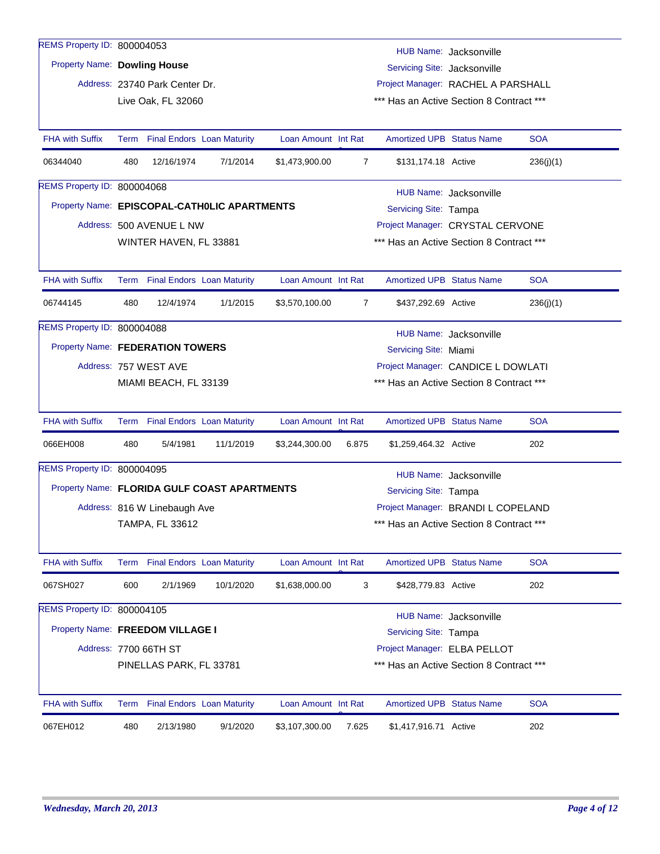| REMS Property ID: 800004053                  |                                                                   |                                                             |                                   |                     |                |                                                                    |                        |            |  |  |  |  |
|----------------------------------------------|-------------------------------------------------------------------|-------------------------------------------------------------|-----------------------------------|---------------------|----------------|--------------------------------------------------------------------|------------------------|------------|--|--|--|--|
| <b>Property Name: Dowling House</b>          |                                                                   |                                                             |                                   |                     |                |                                                                    | HUB Name: Jacksonville |            |  |  |  |  |
|                                              |                                                                   | Address: 23740 Park Center Dr.                              |                                   |                     |                | Servicing Site: Jacksonville<br>Project Manager: RACHEL A PARSHALL |                        |            |  |  |  |  |
|                                              |                                                                   | Live Oak, FL 32060                                          |                                   |                     |                | *** Has an Active Section 8 Contract ***                           |                        |            |  |  |  |  |
|                                              |                                                                   |                                                             |                                   |                     |                |                                                                    |                        |            |  |  |  |  |
| <b>FHA with Suffix</b>                       | Term                                                              |                                                             | <b>Final Endors Loan Maturity</b> | Loan Amount Int Rat |                | <b>Amortized UPB Status Name</b>                                   |                        | <b>SOA</b> |  |  |  |  |
| 06344040                                     | 480                                                               | 12/16/1974                                                  | 7/1/2014                          | \$1,473,900.00      | $\overline{7}$ | \$131,174.18 Active                                                |                        | 236(j)(1)  |  |  |  |  |
| REMS Property ID: 800004068                  |                                                                   |                                                             |                                   |                     |                |                                                                    | HUB Name: Jacksonville |            |  |  |  |  |
| Property Name: EPISCOPAL-CATHOLIC APARTMENTS |                                                                   |                                                             |                                   |                     |                | Servicing Site: Tampa                                              |                        |            |  |  |  |  |
|                                              |                                                                   | Address: 500 AVENUE L NW                                    |                                   |                     |                | Project Manager: CRYSTAL CERVONE                                   |                        |            |  |  |  |  |
|                                              |                                                                   | WINTER HAVEN, FL 33881                                      |                                   |                     |                | *** Has an Active Section 8 Contract ***                           |                        |            |  |  |  |  |
|                                              |                                                                   |                                                             |                                   |                     |                |                                                                    |                        |            |  |  |  |  |
| <b>FHA with Suffix</b>                       |                                                                   | Term Final Endors Loan Maturity                             |                                   | Loan Amount Int Rat |                | <b>Amortized UPB Status Name</b>                                   |                        | <b>SOA</b> |  |  |  |  |
| 06744145                                     | 480                                                               | 12/4/1974                                                   | 1/1/2015                          | \$3,570,100.00      | $\overline{7}$ | \$437,292.69 Active                                                |                        | 236(j)(1)  |  |  |  |  |
| REMS Property ID: 800004088                  |                                                                   |                                                             |                                   |                     |                |                                                                    | HUB Name: Jacksonville |            |  |  |  |  |
|                                              |                                                                   | Property Name: FEDERATION TOWERS<br>Servicing Site: Miami   |                                   |                     |                |                                                                    |                        |            |  |  |  |  |
|                                              |                                                                   | Address: 757 WEST AVE<br>Project Manager: CANDICE L DOWLATI |                                   |                     |                |                                                                    |                        |            |  |  |  |  |
|                                              | MIAMI BEACH, FL 33139<br>*** Has an Active Section 8 Contract *** |                                                             |                                   |                     |                |                                                                    |                        |            |  |  |  |  |
|                                              |                                                                   |                                                             |                                   |                     |                |                                                                    |                        |            |  |  |  |  |
| <b>FHA with Suffix</b>                       |                                                                   | Term Final Endors Loan Maturity                             |                                   | Loan Amount Int Rat |                | Amortized UPB Status Name                                          |                        | <b>SOA</b> |  |  |  |  |
| 066EH008                                     | 480                                                               | 5/4/1981                                                    | 11/1/2019                         | \$3,244,300.00      | 6.875          | \$1,259,464.32 Active                                              |                        | 202        |  |  |  |  |
| REMS Property ID: 800004095                  |                                                                   |                                                             |                                   |                     |                |                                                                    | HUB Name: Jacksonville |            |  |  |  |  |
| Property Name: FLORIDA GULF COAST APARTMENTS |                                                                   |                                                             |                                   |                     |                | Servicing Site: Tampa                                              |                        |            |  |  |  |  |
|                                              |                                                                   | Address: 816 W Linebaugh Ave                                |                                   |                     |                | Project Manager: BRANDI L COPELAND                                 |                        |            |  |  |  |  |
|                                              |                                                                   | TAMPA, FL 33612                                             |                                   |                     |                | *** Has an Active Section 8 Contract ***                           |                        |            |  |  |  |  |
|                                              |                                                                   |                                                             |                                   |                     |                |                                                                    |                        |            |  |  |  |  |
| <b>FHA with Suffix</b>                       |                                                                   | Term Final Endors Loan Maturity                             |                                   | Loan Amount Int Rat |                | Amortized UPB Status Name                                          |                        | <b>SOA</b> |  |  |  |  |
| 067SH027                                     | 600                                                               | 2/1/1969                                                    | 10/1/2020                         | \$1,638,000.00      | 3              | \$428,779.83 Active                                                |                        | 202        |  |  |  |  |
| REMS Property ID: 800004105                  |                                                                   |                                                             |                                   |                     |                |                                                                    | HUB Name: Jacksonville |            |  |  |  |  |
|                                              | Property Name: FREEDOM VILLAGE I<br>Servicing Site: Tampa         |                                                             |                                   |                     |                |                                                                    |                        |            |  |  |  |  |
|                                              |                                                                   | Address: 7700 66TH ST                                       |                                   |                     |                | Project Manager: ELBA PELLOT                                       |                        |            |  |  |  |  |
|                                              |                                                                   | PINELLAS PARK, FL 33781                                     |                                   |                     |                | *** Has an Active Section 8 Contract ***                           |                        |            |  |  |  |  |
|                                              |                                                                   |                                                             |                                   |                     |                |                                                                    |                        |            |  |  |  |  |
| <b>FHA with Suffix</b>                       |                                                                   | Term Final Endors Loan Maturity                             |                                   | Loan Amount Int Rat |                | <b>Amortized UPB Status Name</b>                                   |                        | <b>SOA</b> |  |  |  |  |
| 067EH012                                     | 480                                                               | 2/13/1980                                                   | 9/1/2020                          | \$3,107,300.00      | 7.625          | \$1,417,916.71 Active                                              |                        | 202        |  |  |  |  |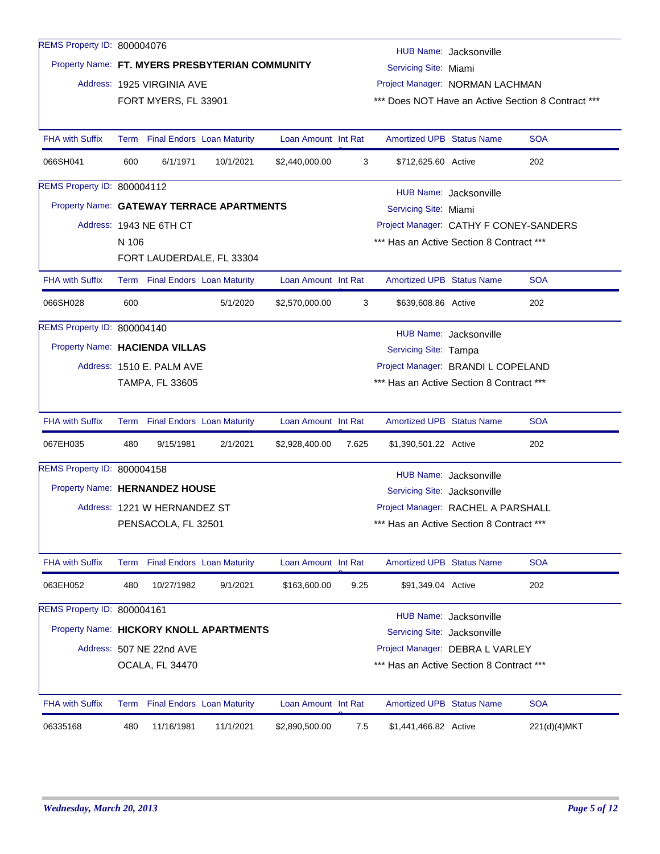| REMS Property ID: 800004076    |                                                                         |                                                                 |                                                 |                     |       |                                                 |                        |                                                    |  |  |  |
|--------------------------------|-------------------------------------------------------------------------|-----------------------------------------------------------------|-------------------------------------------------|---------------------|-------|-------------------------------------------------|------------------------|----------------------------------------------------|--|--|--|
|                                |                                                                         |                                                                 | Property Name: FT. MYERS PRESBYTERIAN COMMUNITY |                     |       | HUB Name: Jacksonville<br>Servicing Site: Miami |                        |                                                    |  |  |  |
|                                |                                                                         | Address: 1925 VIRGINIA AVE                                      |                                                 |                     |       | Project Manager: NORMAN LACHMAN                 |                        |                                                    |  |  |  |
|                                |                                                                         | FORT MYERS, FL 33901                                            |                                                 |                     |       |                                                 |                        | *** Does NOT Have an Active Section 8 Contract *** |  |  |  |
|                                |                                                                         |                                                                 |                                                 |                     |       |                                                 |                        |                                                    |  |  |  |
| <b>FHA with Suffix</b>         |                                                                         |                                                                 | Term Final Endors Loan Maturity                 | Loan Amount Int Rat |       | <b>Amortized UPB Status Name</b>                |                        | <b>SOA</b>                                         |  |  |  |
| 066SH041                       | 600                                                                     | 6/1/1971                                                        | 10/1/2021                                       | \$2,440,000.00      | 3     | \$712,625,60 Active                             |                        | 202                                                |  |  |  |
| REMS Property ID: 800004112    |                                                                         |                                                                 |                                                 |                     |       |                                                 | HUB Name: Jacksonville |                                                    |  |  |  |
|                                |                                                                         |                                                                 | Property Name: GATEWAY TERRACE APARTMENTS       |                     |       | Servicing Site: Miami                           |                        |                                                    |  |  |  |
|                                |                                                                         | Address: 1943 NE 6TH CT                                         |                                                 |                     |       | Project Manager: CATHY F CONEY-SANDERS          |                        |                                                    |  |  |  |
|                                | N 106                                                                   |                                                                 |                                                 |                     |       | *** Has an Active Section 8 Contract ***        |                        |                                                    |  |  |  |
|                                |                                                                         |                                                                 | FORT LAUDERDALE, FL 33304                       |                     |       |                                                 |                        |                                                    |  |  |  |
| <b>FHA with Suffix</b>         |                                                                         |                                                                 | Term Final Endors Loan Maturity                 | Loan Amount Int Rat |       | <b>Amortized UPB Status Name</b>                |                        | <b>SOA</b>                                         |  |  |  |
| 066SH028                       | 600                                                                     |                                                                 | 5/1/2020                                        | \$2,570,000.00      | 3     | \$639,608.86 Active                             |                        | 202                                                |  |  |  |
| REMS Property ID: 800004140    |                                                                         |                                                                 |                                                 |                     |       |                                                 | HUB Name: Jacksonville |                                                    |  |  |  |
|                                |                                                                         | Property Name: HACIENDA VILLAS<br>Servicing Site: Tampa         |                                                 |                     |       |                                                 |                        |                                                    |  |  |  |
|                                |                                                                         | Address: 1510 E. PALM AVE<br>Project Manager: BRANDI L COPELAND |                                                 |                     |       |                                                 |                        |                                                    |  |  |  |
|                                | *** Has an Active Section 8 Contract ***<br>TAMPA, FL 33605             |                                                                 |                                                 |                     |       |                                                 |                        |                                                    |  |  |  |
|                                |                                                                         |                                                                 |                                                 |                     |       |                                                 |                        |                                                    |  |  |  |
| <b>FHA with Suffix</b>         |                                                                         |                                                                 | Term Final Endors Loan Maturity                 | Loan Amount Int Rat |       | <b>Amortized UPB Status Name</b>                |                        | <b>SOA</b>                                         |  |  |  |
| 067EH035                       | 480                                                                     | 9/15/1981                                                       | 2/1/2021                                        | \$2,928,400.00      | 7.625 | \$1,390,501.22 Active                           |                        | 202                                                |  |  |  |
| REMS Property ID: 800004158    |                                                                         |                                                                 |                                                 |                     |       |                                                 | HUB Name: Jacksonville |                                                    |  |  |  |
| Property Name: HERNANDEZ HOUSE |                                                                         |                                                                 |                                                 |                     |       | Servicing Site: Jacksonville                    |                        |                                                    |  |  |  |
|                                |                                                                         | Address: 1221 W HERNANDEZ ST                                    |                                                 |                     |       | Project Manager: RACHEL A PARSHALL              |                        |                                                    |  |  |  |
|                                |                                                                         | PENSACOLA, FL 32501                                             |                                                 |                     |       | *** Has an Active Section 8 Contract ***        |                        |                                                    |  |  |  |
|                                |                                                                         |                                                                 |                                                 |                     |       |                                                 |                        |                                                    |  |  |  |
| <b>FHA with Suffix</b>         | Term                                                                    |                                                                 | <b>Final Endors Loan Maturity</b>               | Loan Amount Int Rat |       | <b>Amortized UPB Status Name</b>                |                        | <b>SOA</b>                                         |  |  |  |
| 063EH052                       | 480                                                                     | 10/27/1982                                                      | 9/1/2021                                        | \$163,600.00        | 9.25  | \$91,349.04 Active                              |                        | 202                                                |  |  |  |
| REMS Property ID: 800004161    |                                                                         |                                                                 |                                                 |                     |       |                                                 | HUB Name: Jacksonville |                                                    |  |  |  |
|                                | Property Name: HICKORY KNOLL APARTMENTS<br>Servicing Site: Jacksonville |                                                                 |                                                 |                     |       |                                                 |                        |                                                    |  |  |  |
|                                |                                                                         | Address: 507 NE 22nd AVE                                        |                                                 |                     |       | Project Manager: DEBRA L VARLEY                 |                        |                                                    |  |  |  |
|                                |                                                                         | OCALA, FL 34470                                                 |                                                 |                     |       | *** Has an Active Section 8 Contract ***        |                        |                                                    |  |  |  |
|                                |                                                                         |                                                                 |                                                 |                     |       |                                                 |                        |                                                    |  |  |  |
| <b>FHA with Suffix</b>         | Term                                                                    |                                                                 | <b>Final Endors Loan Maturity</b>               | Loan Amount Int Rat |       | <b>Amortized UPB Status Name</b>                |                        | <b>SOA</b>                                         |  |  |  |
| 06335168                       | 480                                                                     | 11/16/1981                                                      | 11/1/2021                                       | \$2,890,500.00      | 7.5   | \$1,441,466.82 Active                           |                        | 221(d)(4)MKT                                       |  |  |  |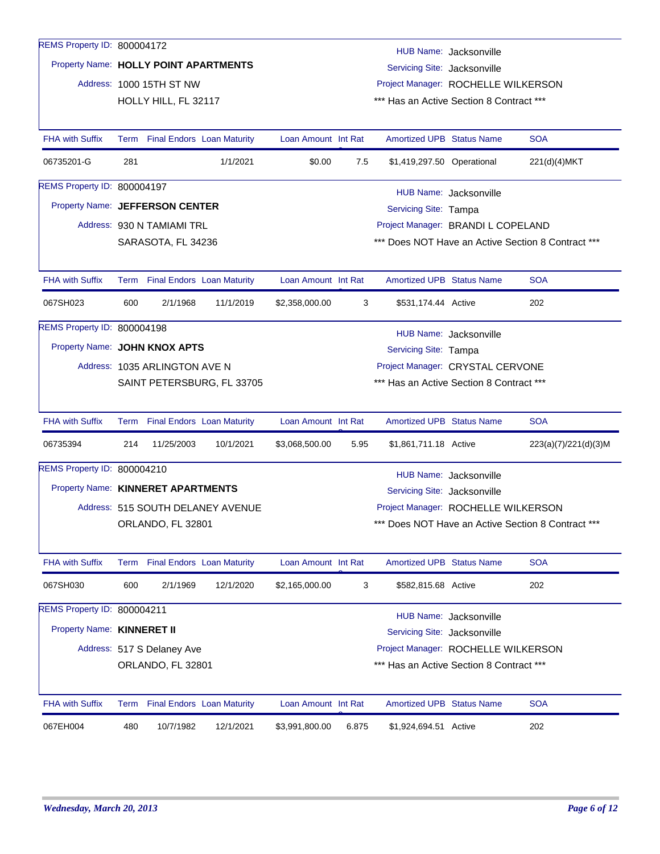| REMS Property ID: 800004172           |                                                                                                      |                                                                                  |                                   |                     |       |                                          | HUB Name: Jacksonville |                                                    |  |  |  |
|---------------------------------------|------------------------------------------------------------------------------------------------------|----------------------------------------------------------------------------------|-----------------------------------|---------------------|-------|------------------------------------------|------------------------|----------------------------------------------------|--|--|--|
| Property Name: HOLLY POINT APARTMENTS |                                                                                                      |                                                                                  |                                   |                     |       | Servicing Site: Jacksonville             |                        |                                                    |  |  |  |
|                                       |                                                                                                      | Address: 1000 15TH ST NW                                                         |                                   |                     |       | Project Manager: ROCHELLE WILKERSON      |                        |                                                    |  |  |  |
|                                       |                                                                                                      | HOLLY HILL, FL 32117                                                             |                                   |                     |       | *** Has an Active Section 8 Contract *** |                        |                                                    |  |  |  |
|                                       |                                                                                                      |                                                                                  |                                   |                     |       |                                          |                        |                                                    |  |  |  |
| <b>FHA with Suffix</b>                |                                                                                                      | Term Final Endors Loan Maturity                                                  |                                   | Loan Amount Int Rat |       | <b>Amortized UPB Status Name</b>         |                        | <b>SOA</b>                                         |  |  |  |
| 06735201-G                            | 281                                                                                                  |                                                                                  | 1/1/2021                          | \$0.00              | 7.5   | \$1,419,297.50 Operational               |                        | 221(d)(4)MKT                                       |  |  |  |
| REMS Property ID: 800004197           |                                                                                                      | HUB Name: Jacksonville                                                           |                                   |                     |       |                                          |                        |                                                    |  |  |  |
| Property Name: JEFFERSON CENTER       |                                                                                                      |                                                                                  |                                   |                     |       | Servicing Site: Tampa                    |                        |                                                    |  |  |  |
|                                       |                                                                                                      | Address: 930 N TAMIAMI TRL                                                       |                                   |                     |       | Project Manager: BRANDI L COPELAND       |                        |                                                    |  |  |  |
|                                       |                                                                                                      | *** Does NOT Have an Active Section 8 Contract ***<br>SARASOTA, FL 34236         |                                   |                     |       |                                          |                        |                                                    |  |  |  |
|                                       |                                                                                                      |                                                                                  |                                   |                     |       |                                          |                        |                                                    |  |  |  |
| <b>FHA with Suffix</b>                |                                                                                                      | Term Final Endors Loan Maturity                                                  |                                   | Loan Amount Int Rat |       | <b>Amortized UPB Status Name</b>         |                        | <b>SOA</b>                                         |  |  |  |
| 067SH023                              | 600                                                                                                  | 2/1/1968                                                                         | 11/1/2019                         | \$2,358,000.00      | 3     | \$531,174.44 Active                      |                        | 202                                                |  |  |  |
| REMS Property ID: 800004198           |                                                                                                      |                                                                                  |                                   |                     |       |                                          |                        |                                                    |  |  |  |
|                                       |                                                                                                      | HUB Name: Jacksonville<br>Property Name: JOHN KNOX APTS<br>Servicing Site: Tampa |                                   |                     |       |                                          |                        |                                                    |  |  |  |
|                                       | Project Manager: CRYSTAL CERVONE<br>Address: 1035 ARLINGTON AVE N                                    |                                                                                  |                                   |                     |       |                                          |                        |                                                    |  |  |  |
|                                       | SAINT PETERSBURG, FL 33705<br>*** Has an Active Section 8 Contract ***                               |                                                                                  |                                   |                     |       |                                          |                        |                                                    |  |  |  |
|                                       |                                                                                                      |                                                                                  |                                   |                     |       |                                          |                        |                                                    |  |  |  |
| <b>FHA with Suffix</b>                |                                                                                                      | Term Final Endors Loan Maturity                                                  |                                   | Loan Amount Int Rat |       | <b>Amortized UPB Status Name</b>         |                        | <b>SOA</b>                                         |  |  |  |
| 06735394                              | 214                                                                                                  | 11/25/2003                                                                       | 10/1/2021                         | \$3,068,500.00      | 5.95  | \$1,861,711.18 Active                    |                        | 223(a)(7)/221(d)(3)M                               |  |  |  |
| REMS Property ID: 800004210           |                                                                                                      |                                                                                  |                                   |                     |       |                                          | HUB Name: Jacksonville |                                                    |  |  |  |
| Property Name: KINNERET APARTMENTS    |                                                                                                      |                                                                                  |                                   |                     |       | Servicing Site: Jacksonville             |                        |                                                    |  |  |  |
|                                       |                                                                                                      |                                                                                  | Address: 515 SOUTH DELANEY AVENUE |                     |       | Project Manager: ROCHELLE WILKERSON      |                        |                                                    |  |  |  |
|                                       |                                                                                                      | ORLANDO, FL 32801                                                                |                                   |                     |       |                                          |                        | *** Does NOT Have an Active Section 8 Contract *** |  |  |  |
|                                       |                                                                                                      |                                                                                  |                                   |                     |       |                                          |                        |                                                    |  |  |  |
| <b>FHA with Suffix</b>                |                                                                                                      | Term Final Endors Loan Maturity                                                  |                                   | Loan Amount Int Rat |       | <b>Amortized UPB Status Name</b>         |                        | <b>SOA</b>                                         |  |  |  |
| 067SH030                              | 600                                                                                                  | 2/1/1969                                                                         | 12/1/2020                         | \$2,165,000.00      | 3     | \$582,815.68 Active                      |                        | 202                                                |  |  |  |
| REMS Property ID: 800004211           |                                                                                                      |                                                                                  |                                   |                     |       |                                          | HUB Name: Jacksonville |                                                    |  |  |  |
| Property Name: KINNERET II            |                                                                                                      |                                                                                  |                                   |                     |       | Servicing Site: Jacksonville             |                        |                                                    |  |  |  |
|                                       |                                                                                                      | Address: 517 S Delaney Ave                                                       |                                   |                     |       |                                          |                        |                                                    |  |  |  |
|                                       | Project Manager: ROCHELLE WILKERSON<br>*** Has an Active Section 8 Contract ***<br>ORLANDO, FL 32801 |                                                                                  |                                   |                     |       |                                          |                        |                                                    |  |  |  |
|                                       |                                                                                                      |                                                                                  |                                   |                     |       |                                          |                        |                                                    |  |  |  |
| <b>FHA with Suffix</b>                |                                                                                                      | Term Final Endors Loan Maturity                                                  |                                   | Loan Amount Int Rat |       | <b>Amortized UPB Status Name</b>         |                        | <b>SOA</b>                                         |  |  |  |
| 067EH004                              | 480                                                                                                  | 10/7/1982                                                                        | 12/1/2021                         | \$3,991,800.00      | 6.875 | \$1,924,694.51 Active                    |                        | 202                                                |  |  |  |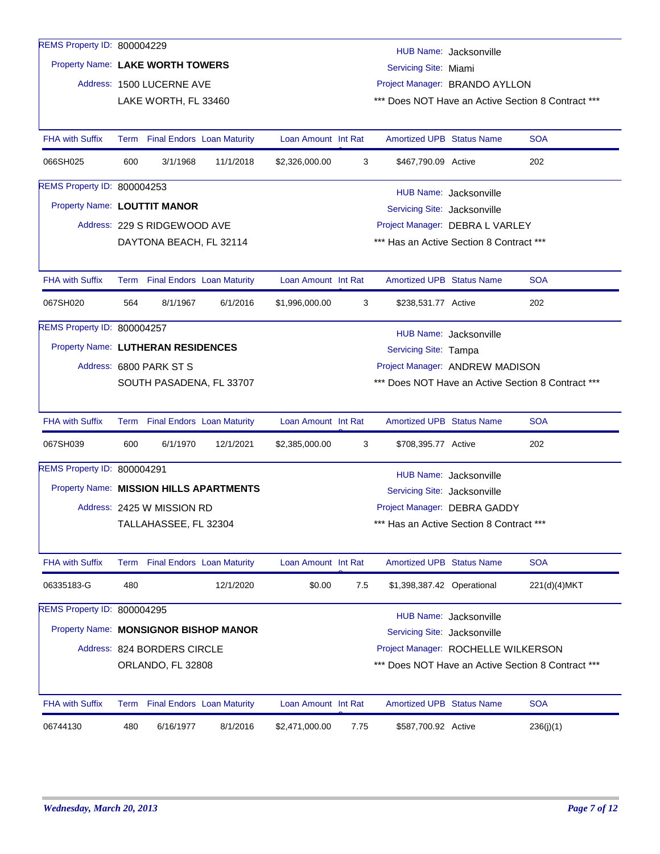| REMS Property ID: 800004229             |                                                                                |                                 |           |                     |      |                                          | HUB Name: Jacksonville |                                                    |
|-----------------------------------------|--------------------------------------------------------------------------------|---------------------------------|-----------|---------------------|------|------------------------------------------|------------------------|----------------------------------------------------|
| Property Name: LAKE WORTH TOWERS        |                                                                                |                                 |           |                     |      | Servicing Site: Miami                    |                        |                                                    |
|                                         |                                                                                | Address: 1500 LUCERNE AVE       |           |                     |      | Project Manager: BRANDO AYLLON           |                        |                                                    |
|                                         |                                                                                | LAKE WORTH, FL 33460            |           |                     |      |                                          |                        | *** Does NOT Have an Active Section 8 Contract *** |
|                                         |                                                                                |                                 |           |                     |      |                                          |                        |                                                    |
| <b>FHA with Suffix</b>                  |                                                                                | Term Final Endors Loan Maturity |           | Loan Amount Int Rat |      | <b>Amortized UPB Status Name</b>         |                        | <b>SOA</b>                                         |
| 066SH025                                | 600                                                                            | 3/1/1968                        | 11/1/2018 | \$2,326,000.00      | 3    | \$467,790.09 Active                      |                        | 202                                                |
| <b>REMS Property ID: 800004253</b>      |                                                                                |                                 |           |                     |      |                                          | HUB Name: Jacksonville |                                                    |
| Property Name: LOUTTIT MANOR            |                                                                                |                                 |           |                     |      | Servicing Site: Jacksonville             |                        |                                                    |
|                                         |                                                                                | Address: 229 S RIDGEWOOD AVE    |           |                     |      | Project Manager: DEBRA L VARLEY          |                        |                                                    |
|                                         |                                                                                | DAYTONA BEACH, FL 32114         |           |                     |      | *** Has an Active Section 8 Contract *** |                        |                                                    |
|                                         |                                                                                |                                 |           |                     |      |                                          |                        |                                                    |
| <b>FHA with Suffix</b>                  |                                                                                | Term Final Endors Loan Maturity |           | Loan Amount Int Rat |      | <b>Amortized UPB Status Name</b>         |                        | <b>SOA</b>                                         |
| 067SH020                                | 564                                                                            | 8/1/1967                        | 6/1/2016  | \$1,996,000.00      | 3    | \$238,531.77 Active                      |                        | 202                                                |
| REMS Property ID: 800004257             |                                                                                |                                 |           |                     |      |                                          | HUB Name: Jacksonville |                                                    |
| Property Name: LUTHERAN RESIDENCES      |                                                                                |                                 |           |                     |      | Servicing Site: Tampa                    |                        |                                                    |
|                                         | Project Manager: ANDREW MADISON<br>Address: 6800 PARK ST S                     |                                 |           |                     |      |                                          |                        |                                                    |
|                                         | *** Does NOT Have an Active Section 8 Contract ***<br>SOUTH PASADENA, FL 33707 |                                 |           |                     |      |                                          |                        |                                                    |
|                                         |                                                                                |                                 |           |                     |      |                                          |                        |                                                    |
| <b>FHA with Suffix</b>                  |                                                                                | Term Final Endors Loan Maturity |           | Loan Amount Int Rat |      | <b>Amortized UPB Status Name</b>         |                        | <b>SOA</b>                                         |
| 067SH039                                | 600                                                                            | 6/1/1970                        | 12/1/2021 | \$2,385,000.00      | 3    | \$708,395.77 Active                      |                        | 202                                                |
| REMS Property ID: 800004291             |                                                                                |                                 |           |                     |      |                                          | HUB Name: Jacksonville |                                                    |
| Property Name: MISSION HILLS APARTMENTS |                                                                                |                                 |           |                     |      | Servicing Site: Jacksonville             |                        |                                                    |
|                                         |                                                                                | Address: 2425 W MISSION RD      |           |                     |      | Project Manager: DEBRA GADDY             |                        |                                                    |
|                                         |                                                                                | TALLAHASSEE, FL 32304           |           |                     |      | *** Has an Active Section 8 Contract *** |                        |                                                    |
|                                         |                                                                                |                                 |           |                     |      |                                          |                        |                                                    |
| <b>FHA with Suffix</b>                  |                                                                                | Term Final Endors Loan Maturity |           | Loan Amount Int Rat |      | <b>Amortized UPB Status Name</b>         |                        | <b>SOA</b>                                         |
| 06335183-G                              | 480                                                                            |                                 | 12/1/2020 | \$0.00              | 7.5  | \$1,398,387.42 Operational               |                        | 221(d)(4)MKT                                       |
| REMS Property ID: 800004295             |                                                                                |                                 |           |                     |      |                                          | HUB Name: Jacksonville |                                                    |
| Property Name: MONSIGNOR BISHOP MANOR   |                                                                                |                                 |           |                     |      | Servicing Site: Jacksonville             |                        |                                                    |
|                                         |                                                                                | Address: 824 BORDERS CIRCLE     |           |                     |      | Project Manager: ROCHELLE WILKERSON      |                        |                                                    |
|                                         |                                                                                | ORLANDO, FL 32808               |           |                     |      |                                          |                        | *** Does NOT Have an Active Section 8 Contract *** |
|                                         |                                                                                |                                 |           |                     |      |                                          |                        |                                                    |
| <b>FHA with Suffix</b>                  |                                                                                | Term Final Endors Loan Maturity |           | Loan Amount Int Rat |      | <b>Amortized UPB Status Name</b>         |                        | <b>SOA</b>                                         |
| 06744130                                | 480                                                                            | 6/16/1977                       | 8/1/2016  | \$2,471,000.00      | 7.75 | \$587,700.92 Active                      |                        | 236(j)(1)                                          |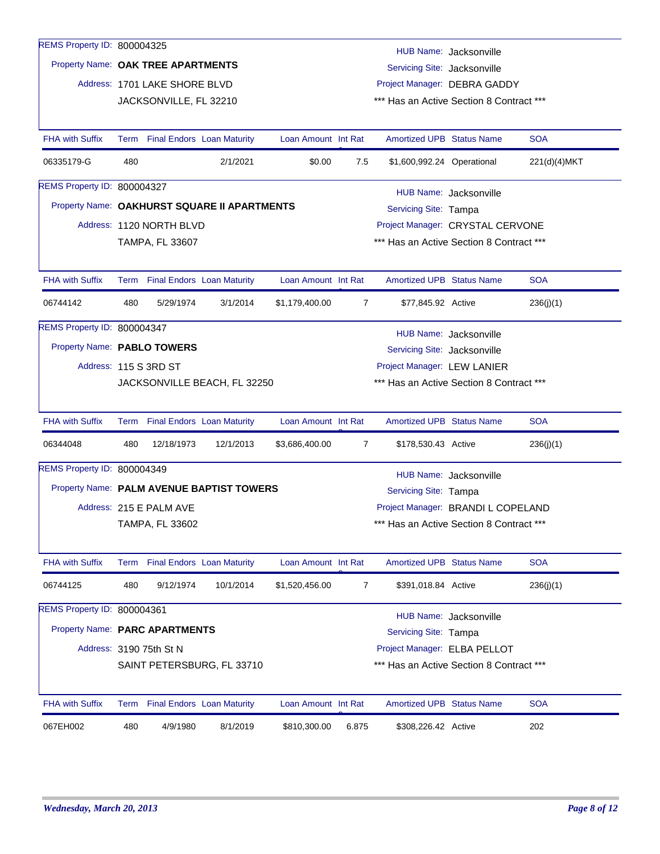| REMS Property ID: 800004325        |      |                                   |                                              |                     |                |                                          | HUB Name: Jacksonville             |              |
|------------------------------------|------|-----------------------------------|----------------------------------------------|---------------------|----------------|------------------------------------------|------------------------------------|--------------|
| Property Name: OAK TREE APARTMENTS |      |                                   |                                              |                     |                | Servicing Site: Jacksonville             |                                    |              |
|                                    |      | Address: 1701 LAKE SHORE BLVD     |                                              |                     |                |                                          | Project Manager: DEBRA GADDY       |              |
|                                    |      | JACKSONVILLE, FL 32210            |                                              |                     |                | *** Has an Active Section 8 Contract *** |                                    |              |
|                                    |      |                                   |                                              |                     |                |                                          |                                    |              |
| <b>FHA with Suffix</b>             |      | Term Final Endors Loan Maturity   |                                              | Loan Amount Int Rat |                | <b>Amortized UPB Status Name</b>         |                                    | <b>SOA</b>   |
| 06335179-G                         | 480  |                                   | 2/1/2021                                     | \$0.00              | 7.5            | \$1,600,992.24 Operational               |                                    | 221(d)(4)MKT |
| REMS Property ID: 800004327        |      |                                   |                                              |                     |                |                                          | HUB Name: Jacksonville             |              |
|                                    |      |                                   | Property Name: OAKHURST SQUARE II APARTMENTS |                     |                | Servicing Site: Tampa                    |                                    |              |
|                                    |      | Address: 1120 NORTH BLVD          |                                              |                     |                |                                          | Project Manager: CRYSTAL CERVONE   |              |
|                                    |      | <b>TAMPA, FL 33607</b>            |                                              |                     |                | *** Has an Active Section 8 Contract *** |                                    |              |
|                                    |      |                                   |                                              |                     |                |                                          |                                    |              |
| <b>FHA with Suffix</b>             |      | Term Final Endors Loan Maturity   |                                              | Loan Amount Int Rat |                | <b>Amortized UPB Status Name</b>         |                                    | <b>SOA</b>   |
| 06744142                           | 480  | 5/29/1974                         | 3/1/2014                                     | \$1,179,400.00      | 7              | \$77,845.92 Active                       |                                    | 236(j)(1)    |
| REMS Property ID: 800004347        |      |                                   |                                              |                     |                |                                          | HUB Name: Jacksonville             |              |
| Property Name: PABLO TOWERS        |      |                                   |                                              |                     |                | Servicing Site: Jacksonville             |                                    |              |
|                                    |      | Address: 115 S 3RD ST             |                                              |                     |                | Project Manager: LEW LANIER              |                                    |              |
|                                    |      |                                   | JACKSONVILLE BEACH, FL 32250                 |                     |                | *** Has an Active Section 8 Contract *** |                                    |              |
|                                    |      |                                   |                                              |                     |                |                                          |                                    |              |
| <b>FHA with Suffix</b>             | Term | <b>Final Endors Loan Maturity</b> |                                              | Loan Amount Int Rat |                | <b>Amortized UPB Status Name</b>         |                                    | <b>SOA</b>   |
| 06344048                           | 480  | 12/18/1973                        | 12/1/2013                                    | \$3,686,400.00      | $\overline{7}$ | \$178,530.43 Active                      |                                    | 236(j)(1)    |
| REMS Property ID: 800004349        |      |                                   |                                              |                     |                |                                          | HUB Name: Jacksonville             |              |
|                                    |      |                                   | Property Name: PALM AVENUE BAPTIST TOWERS    |                     |                | Servicing Site: Tampa                    |                                    |              |
|                                    |      | Address: 215 E PALM AVE           |                                              |                     |                |                                          | Project Manager: BRANDI L COPELAND |              |
|                                    |      | TAMPA, FL 33602                   |                                              |                     |                | *** Has an Active Section 8 Contract *** |                                    |              |
|                                    |      |                                   |                                              |                     |                |                                          |                                    |              |
| <b>FHA with Suffix</b>             |      | Term Final Endors Loan Maturity   |                                              | Loan Amount Int Rat |                | <b>Amortized UPB Status Name</b>         |                                    | <b>SOA</b>   |
| 06744125                           | 480  | 9/12/1974                         | 10/1/2014                                    | \$1,520,456.00      | $\overline{7}$ | \$391,018.84 Active                      |                                    | 236(j)(1)    |
| REMS Property ID: 800004361        |      |                                   |                                              |                     |                |                                          | HUB Name: Jacksonville             |              |
| Property Name: PARC APARTMENTS     |      |                                   |                                              |                     |                | Servicing Site: Tampa                    |                                    |              |
|                                    |      | Address: 3190 75th St N           |                                              |                     |                | Project Manager: ELBA PELLOT             |                                    |              |
|                                    |      |                                   | SAINT PETERSBURG, FL 33710                   |                     |                | *** Has an Active Section 8 Contract *** |                                    |              |
|                                    |      |                                   |                                              |                     |                |                                          |                                    |              |
| <b>FHA with Suffix</b>             | Term | <b>Final Endors Loan Maturity</b> |                                              | Loan Amount Int Rat |                | <b>Amortized UPB Status Name</b>         |                                    | <b>SOA</b>   |
| 067EH002                           | 480  | 4/9/1980                          | 8/1/2019                                     | \$810,300.00        | 6.875          | \$308,226.42 Active                      |                                    | 202          |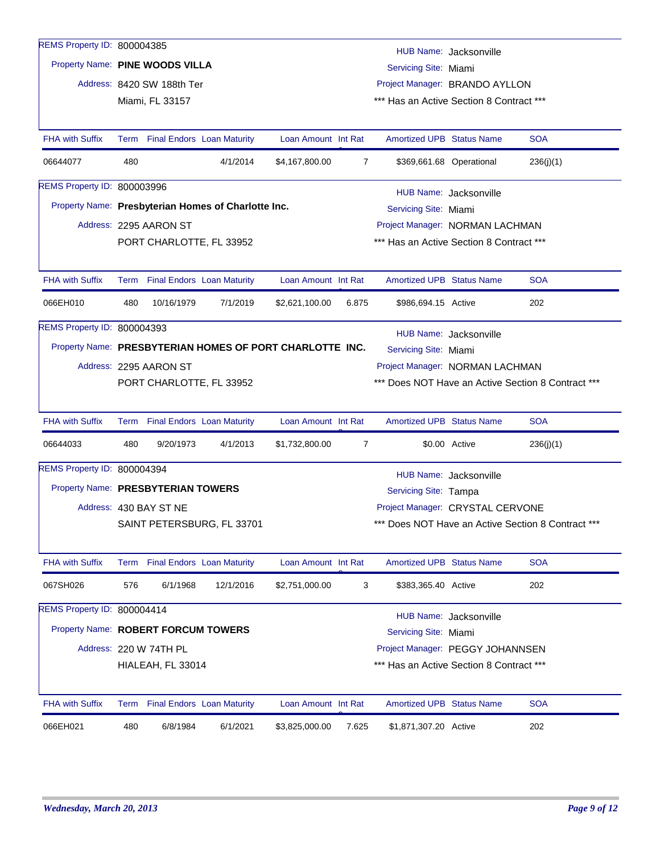| REMS Property ID: 800004385         |     |                                                                                   |                                                     |                     |                |                                          | HUB Name: Jacksonville   |                                                    |  |  |  |
|-------------------------------------|-----|-----------------------------------------------------------------------------------|-----------------------------------------------------|---------------------|----------------|------------------------------------------|--------------------------|----------------------------------------------------|--|--|--|
| Property Name: PINE WOODS VILLA     |     |                                                                                   |                                                     |                     |                | Servicing Site: Miami                    |                          |                                                    |  |  |  |
|                                     |     |                                                                                   |                                                     |                     |                | Project Manager: BRANDO AYLLON           |                          |                                                    |  |  |  |
|                                     |     | Address: 8420 SW 188th Ter<br>Miami, FL 33157                                     |                                                     |                     |                | *** Has an Active Section 8 Contract *** |                          |                                                    |  |  |  |
|                                     |     |                                                                                   |                                                     |                     |                |                                          |                          |                                                    |  |  |  |
| <b>FHA with Suffix</b>              |     | Term Final Endors Loan Maturity                                                   |                                                     | Loan Amount Int Rat |                | <b>Amortized UPB Status Name</b>         |                          | <b>SOA</b>                                         |  |  |  |
| 06644077                            | 480 |                                                                                   | 4/1/2014                                            | \$4,167,800.00      | $\overline{7}$ |                                          | \$369,661.68 Operational | 236(j)(1)                                          |  |  |  |
| REMS Property ID: 800003996         |     |                                                                                   |                                                     |                     |                |                                          | HUB Name: Jacksonville   |                                                    |  |  |  |
|                                     |     |                                                                                   | Property Name: Presbyterian Homes of Charlotte Inc. |                     |                | Servicing Site: Miami                    |                          |                                                    |  |  |  |
|                                     |     | Address: 2295 AARON ST                                                            |                                                     |                     |                | Project Manager: NORMAN LACHMAN          |                          |                                                    |  |  |  |
|                                     |     | PORT CHARLOTTE, FL 33952                                                          |                                                     |                     |                | *** Has an Active Section 8 Contract *** |                          |                                                    |  |  |  |
|                                     |     |                                                                                   |                                                     |                     |                |                                          |                          |                                                    |  |  |  |
| <b>FHA with Suffix</b>              |     | Term Final Endors Loan Maturity                                                   |                                                     | Loan Amount Int Rat |                | <b>Amortized UPB Status Name</b>         |                          | <b>SOA</b>                                         |  |  |  |
| 066EH010                            | 480 | 10/16/1979                                                                        | 7/1/2019                                            | \$2,621,100.00      | 6.875          | \$986,694.15 Active                      |                          | 202                                                |  |  |  |
| REMS Property ID: 800004393         |     |                                                                                   |                                                     |                     |                |                                          | HUB Name: Jacksonville   |                                                    |  |  |  |
|                                     |     | Property Name: PRESBYTERIAN HOMES OF PORT CHARLOTTE INC.<br>Servicing Site: Miami |                                                     |                     |                |                                          |                          |                                                    |  |  |  |
|                                     |     | Address: 2295 AARON ST<br>Project Manager: NORMAN LACHMAN                         |                                                     |                     |                |                                          |                          |                                                    |  |  |  |
|                                     |     | PORT CHARLOTTE, FL 33952                                                          |                                                     |                     |                |                                          |                          | *** Does NOT Have an Active Section 8 Contract *** |  |  |  |
|                                     |     |                                                                                   |                                                     |                     |                |                                          |                          |                                                    |  |  |  |
| <b>FHA with Suffix</b>              |     | Term Final Endors Loan Maturity                                                   |                                                     | Loan Amount Int Rat |                | <b>Amortized UPB Status Name</b>         |                          | <b>SOA</b>                                         |  |  |  |
| 06644033                            | 480 | 9/20/1973                                                                         | 4/1/2013                                            | \$1,732,800.00      | 7              |                                          | \$0.00 Active            | 236(j)(1)                                          |  |  |  |
| REMS Property ID: 800004394         |     |                                                                                   |                                                     |                     |                |                                          | HUB Name: Jacksonville   |                                                    |  |  |  |
| Property Name: PRESBYTERIAN TOWERS  |     |                                                                                   |                                                     |                     |                | Servicing Site: Tampa                    |                          |                                                    |  |  |  |
|                                     |     | Address: 430 BAY ST NE                                                            |                                                     |                     |                | Project Manager: CRYSTAL CERVONE         |                          |                                                    |  |  |  |
|                                     |     |                                                                                   | SAINT PETERSBURG, FL 33701                          |                     |                |                                          |                          | *** Does NOT Have an Active Section 8 Contract *** |  |  |  |
|                                     |     |                                                                                   |                                                     |                     |                |                                          |                          |                                                    |  |  |  |
| <b>FHA with Suffix</b>              |     | Term Final Endors Loan Maturity                                                   |                                                     | Loan Amount Int Rat |                | <b>Amortized UPB Status Name</b>         |                          | <b>SOA</b>                                         |  |  |  |
| 067SH026                            | 576 | 6/1/1968                                                                          | 12/1/2016                                           | \$2,751,000.00      | 3              | \$383,365.40 Active                      |                          | 202                                                |  |  |  |
| REMS Property ID: 800004414         |     |                                                                                   |                                                     |                     |                |                                          | HUB Name: Jacksonville   |                                                    |  |  |  |
| Property Name: ROBERT FORCUM TOWERS |     |                                                                                   |                                                     |                     |                | Servicing Site: Miami                    |                          |                                                    |  |  |  |
|                                     |     | Address: 220 W 74TH PL                                                            |                                                     |                     |                | Project Manager: PEGGY JOHANNSEN         |                          |                                                    |  |  |  |
|                                     |     | HIALEAH, FL 33014                                                                 |                                                     |                     |                | *** Has an Active Section 8 Contract *** |                          |                                                    |  |  |  |
|                                     |     |                                                                                   |                                                     |                     |                |                                          |                          |                                                    |  |  |  |
| <b>FHA with Suffix</b>              |     | Term Final Endors Loan Maturity                                                   |                                                     | Loan Amount Int Rat |                | <b>Amortized UPB Status Name</b>         |                          | <b>SOA</b>                                         |  |  |  |
| 066EH021                            | 480 | 6/8/1984                                                                          | 6/1/2021                                            | \$3,825,000.00      | 7.625          | \$1,871,307.20 Active                    |                          | 202                                                |  |  |  |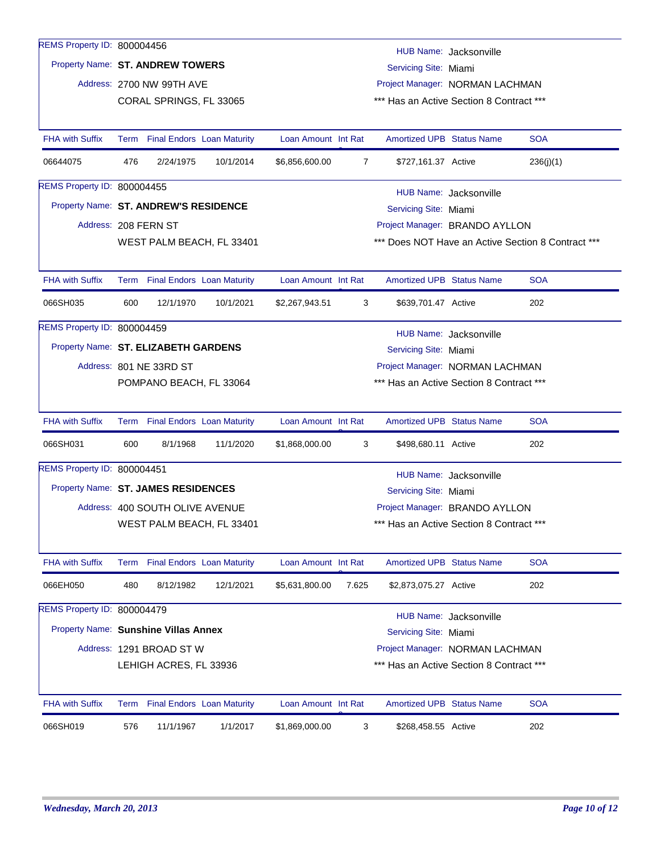| REMS Property ID: 800004456           |                                                               | HUB Name: Jacksonville                                                                  |           |                     |                |                                          |                        |                                                    |  |  |  |  |  |
|---------------------------------------|---------------------------------------------------------------|-----------------------------------------------------------------------------------------|-----------|---------------------|----------------|------------------------------------------|------------------------|----------------------------------------------------|--|--|--|--|--|
| Property Name: ST. ANDREW TOWERS      |                                                               |                                                                                         |           |                     |                | Servicing Site: Miami                    |                        |                                                    |  |  |  |  |  |
|                                       |                                                               | Address: 2700 NW 99TH AVE                                                               |           |                     |                | Project Manager: NORMAN LACHMAN          |                        |                                                    |  |  |  |  |  |
|                                       |                                                               | CORAL SPRINGS, FL 33065                                                                 |           |                     |                | *** Has an Active Section 8 Contract *** |                        |                                                    |  |  |  |  |  |
|                                       |                                                               |                                                                                         |           |                     |                |                                          |                        |                                                    |  |  |  |  |  |
| <b>FHA with Suffix</b>                |                                                               | Term Final Endors Loan Maturity                                                         |           | Loan Amount Int Rat |                | <b>Amortized UPB Status Name</b>         |                        | <b>SOA</b>                                         |  |  |  |  |  |
| 06644075                              | 476                                                           | 2/24/1975                                                                               | 10/1/2014 | \$6,856,600.00      | $\overline{7}$ | \$727,161.37 Active                      |                        | 236(j)(1)                                          |  |  |  |  |  |
| REMS Property ID: 800004455           |                                                               |                                                                                         |           |                     |                |                                          | HUB Name: Jacksonville |                                                    |  |  |  |  |  |
| Property Name: ST. ANDREW'S RESIDENCE |                                                               |                                                                                         |           |                     |                | Servicing Site: Miami                    |                        |                                                    |  |  |  |  |  |
|                                       |                                                               | Address: 208 FERN ST                                                                    |           |                     |                | Project Manager: BRANDO AYLLON           |                        |                                                    |  |  |  |  |  |
|                                       |                                                               |                                                                                         |           |                     |                |                                          |                        | *** Does NOT Have an Active Section 8 Contract *** |  |  |  |  |  |
|                                       |                                                               | WEST PALM BEACH, FL 33401                                                               |           |                     |                |                                          |                        |                                                    |  |  |  |  |  |
| <b>FHA with Suffix</b>                |                                                               | Term Final Endors Loan Maturity                                                         |           | Loan Amount Int Rat |                | <b>Amortized UPB Status Name</b>         |                        | <b>SOA</b>                                         |  |  |  |  |  |
| 066SH035                              | 600                                                           | 12/1/1970                                                                               | 10/1/2021 | \$2,267,943.51      | 3              | \$639,701.47 Active                      |                        | 202                                                |  |  |  |  |  |
| REMS Property ID: 800004459           |                                                               |                                                                                         |           |                     |                |                                          |                        |                                                    |  |  |  |  |  |
|                                       |                                                               | HUB Name: Jacksonville<br>Property Name: ST. ELIZABETH GARDENS<br>Servicing Site: Miami |           |                     |                |                                          |                        |                                                    |  |  |  |  |  |
|                                       |                                                               | Address: 801 NE 33RD ST<br>Project Manager: NORMAN LACHMAN                              |           |                     |                |                                          |                        |                                                    |  |  |  |  |  |
|                                       |                                                               | *** Has an Active Section 8 Contract ***<br>POMPANO BEACH, FL 33064                     |           |                     |                |                                          |                        |                                                    |  |  |  |  |  |
|                                       |                                                               |                                                                                         |           |                     |                |                                          |                        |                                                    |  |  |  |  |  |
| <b>FHA with Suffix</b>                |                                                               | Term Final Endors Loan Maturity                                                         |           | Loan Amount Int Rat |                | <b>Amortized UPB Status Name</b>         |                        | <b>SOA</b>                                         |  |  |  |  |  |
| 066SH031                              | 600                                                           | 8/1/1968                                                                                | 11/1/2020 | \$1,868,000.00      | 3              | \$498,680.11 Active                      |                        | 202                                                |  |  |  |  |  |
| REMS Property ID: 800004451           |                                                               |                                                                                         |           |                     |                |                                          | HUB Name: Jacksonville |                                                    |  |  |  |  |  |
| Property Name: ST. JAMES RESIDENCES   |                                                               |                                                                                         |           |                     |                | Servicing Site: Miami                    |                        |                                                    |  |  |  |  |  |
|                                       |                                                               | Address: 400 SOUTH OLIVE AVENUE                                                         |           |                     |                | Project Manager: BRANDO AYLLON           |                        |                                                    |  |  |  |  |  |
|                                       |                                                               | WEST PALM BEACH, FL 33401                                                               |           |                     |                | *** Has an Active Section 8 Contract *** |                        |                                                    |  |  |  |  |  |
|                                       |                                                               |                                                                                         |           |                     |                |                                          |                        |                                                    |  |  |  |  |  |
| <b>FHA with Suffix</b>                |                                                               | Term Final Endors Loan Maturity                                                         |           | Loan Amount Int Rat |                | <b>Amortized UPB Status Name</b>         |                        | <b>SOA</b>                                         |  |  |  |  |  |
| 066EH050                              | 480                                                           | 8/12/1982                                                                               | 12/1/2021 | \$5,631,800.00      | 7.625          | \$2,873,075.27 Active                    |                        | 202                                                |  |  |  |  |  |
| REMS Property ID: 800004479           |                                                               |                                                                                         |           |                     |                |                                          | HUB Name: Jacksonville |                                                    |  |  |  |  |  |
|                                       | Property Name: Sunshine Villas Annex<br>Servicing Site: Miami |                                                                                         |           |                     |                |                                          |                        |                                                    |  |  |  |  |  |
|                                       |                                                               | Address: 1291 BROAD ST W                                                                |           |                     |                | Project Manager: NORMAN LACHMAN          |                        |                                                    |  |  |  |  |  |
|                                       |                                                               | LEHIGH ACRES, FL 33936                                                                  |           |                     |                | *** Has an Active Section 8 Contract *** |                        |                                                    |  |  |  |  |  |
|                                       |                                                               |                                                                                         |           |                     |                |                                          |                        |                                                    |  |  |  |  |  |
| <b>FHA with Suffix</b>                |                                                               | Term Final Endors Loan Maturity                                                         |           | Loan Amount Int Rat |                | Amortized UPB Status Name                |                        | <b>SOA</b>                                         |  |  |  |  |  |
| 066SH019                              | 576                                                           | 11/1/1967                                                                               | 1/1/2017  | \$1,869,000.00      | 3              | \$268,458.55 Active                      |                        | 202                                                |  |  |  |  |  |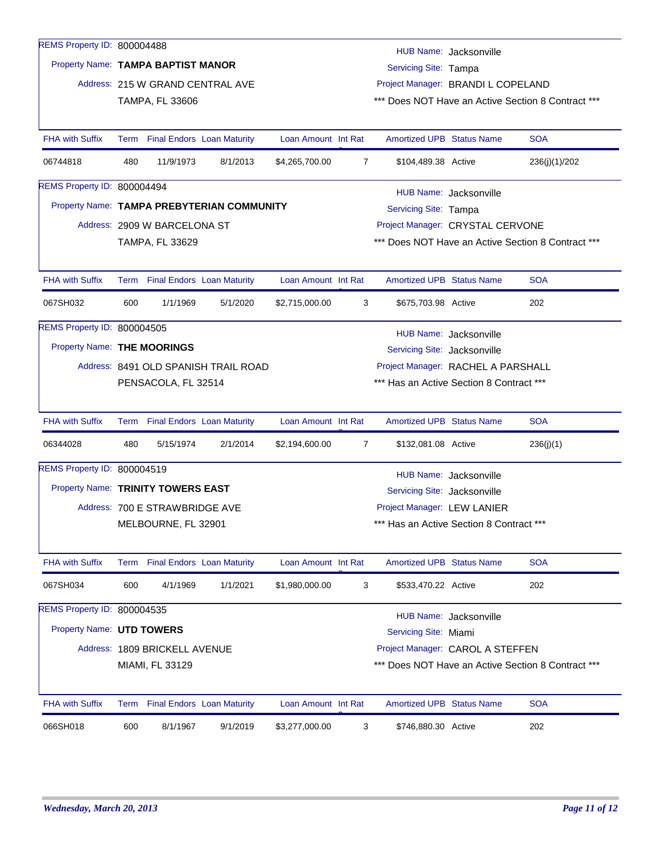| REMS Property ID: 800004488        |                                                                 |                                                                                       |                                            |                     |                |                                          | HUB Name: Jacksonville |                                                    |  |  |  |
|------------------------------------|-----------------------------------------------------------------|---------------------------------------------------------------------------------------|--------------------------------------------|---------------------|----------------|------------------------------------------|------------------------|----------------------------------------------------|--|--|--|
| Property Name: TAMPA BAPTIST MANOR |                                                                 |                                                                                       |                                            |                     |                | Servicing Site: Tampa                    |                        |                                                    |  |  |  |
|                                    |                                                                 | Address: 215 W GRAND CENTRAL AVE                                                      |                                            |                     |                | Project Manager: BRANDI L COPELAND       |                        |                                                    |  |  |  |
|                                    |                                                                 | TAMPA, FL 33606                                                                       |                                            |                     |                |                                          |                        | *** Does NOT Have an Active Section 8 Contract *** |  |  |  |
|                                    |                                                                 |                                                                                       |                                            |                     |                |                                          |                        |                                                    |  |  |  |
| <b>FHA with Suffix</b>             |                                                                 | Term Final Endors Loan Maturity                                                       |                                            | Loan Amount Int Rat |                | <b>Amortized UPB Status Name</b>         |                        | <b>SOA</b>                                         |  |  |  |
| 06744818                           | 480                                                             | 11/9/1973                                                                             | 8/1/2013                                   | \$4,265,700.00      | $\overline{7}$ | \$104,489.38 Active                      |                        | 236(j)(1)/202                                      |  |  |  |
| REMS Property ID: 800004494        |                                                                 |                                                                                       |                                            |                     |                |                                          | HUB Name: Jacksonville |                                                    |  |  |  |
|                                    |                                                                 |                                                                                       | Property Name: TAMPA PREBYTERIAN COMMUNITY |                     |                | Servicing Site: Tampa                    |                        |                                                    |  |  |  |
|                                    |                                                                 | Address: 2909 W BARCELONA ST                                                          |                                            |                     |                | Project Manager: CRYSTAL CERVONE         |                        |                                                    |  |  |  |
|                                    |                                                                 | TAMPA, FL 33629                                                                       |                                            |                     |                |                                          |                        | *** Does NOT Have an Active Section 8 Contract *** |  |  |  |
|                                    |                                                                 |                                                                                       |                                            |                     |                |                                          |                        |                                                    |  |  |  |
| <b>FHA with Suffix</b>             |                                                                 | Term Final Endors Loan Maturity                                                       |                                            | Loan Amount Int Rat |                | <b>Amortized UPB Status Name</b>         |                        | <b>SOA</b>                                         |  |  |  |
| 067SH032                           | 600                                                             | 1/1/1969                                                                              | 5/1/2020                                   | \$2,715,000.00      | 3              | \$675,703.98 Active                      |                        | 202                                                |  |  |  |
| REMS Property ID: 800004505        |                                                                 |                                                                                       |                                            |                     |                |                                          |                        |                                                    |  |  |  |
|                                    |                                                                 | HUB Name: Jacksonville<br>Property Name: THE MOORINGS<br>Servicing Site: Jacksonville |                                            |                     |                |                                          |                        |                                                    |  |  |  |
|                                    |                                                                 | Address: 8491 OLD SPANISH TRAIL ROAD<br>Project Manager: RACHEL A PARSHALL            |                                            |                     |                |                                          |                        |                                                    |  |  |  |
|                                    | *** Has an Active Section 8 Contract ***<br>PENSACOLA, FL 32514 |                                                                                       |                                            |                     |                |                                          |                        |                                                    |  |  |  |
|                                    |                                                                 |                                                                                       |                                            |                     |                |                                          |                        |                                                    |  |  |  |
| <b>FHA with Suffix</b>             |                                                                 | Term Final Endors Loan Maturity                                                       |                                            | Loan Amount Int Rat |                | <b>Amortized UPB Status Name</b>         |                        | <b>SOA</b>                                         |  |  |  |
| 06344028                           | 480                                                             | 5/15/1974                                                                             | 2/1/2014                                   | \$2,194,600.00      | $\overline{7}$ | \$132,081.08 Active                      |                        | 236(j)(1)                                          |  |  |  |
| REMS Property ID: 800004519        |                                                                 |                                                                                       |                                            |                     |                |                                          | HUB Name: Jacksonville |                                                    |  |  |  |
| Property Name: TRINITY TOWERS EAST |                                                                 |                                                                                       |                                            |                     |                | Servicing Site: Jacksonville             |                        |                                                    |  |  |  |
|                                    |                                                                 | Address: 700 E STRAWBRIDGE AVE                                                        |                                            |                     |                | Project Manager: LEW LANIER              |                        |                                                    |  |  |  |
|                                    |                                                                 | MELBOURNE, FL 32901                                                                   |                                            |                     |                | *** Has an Active Section 8 Contract *** |                        |                                                    |  |  |  |
|                                    |                                                                 |                                                                                       |                                            |                     |                |                                          |                        |                                                    |  |  |  |
| <b>FHA with Suffix</b>             |                                                                 | Term Final Endors Loan Maturity                                                       |                                            | Loan Amount Int Rat |                | <b>Amortized UPB Status Name</b>         |                        | <b>SOA</b>                                         |  |  |  |
| 067SH034                           | 600                                                             | 4/1/1969                                                                              | 1/1/2021                                   | \$1,980,000.00      | 3              | \$533,470.22 Active                      |                        | 202                                                |  |  |  |
| REMS Property ID: 800004535        |                                                                 |                                                                                       |                                            |                     |                |                                          | HUB Name: Jacksonville |                                                    |  |  |  |
| Property Name: UTD TOWERS          |                                                                 |                                                                                       |                                            |                     |                | Servicing Site: Miami                    |                        |                                                    |  |  |  |
|                                    |                                                                 | Address: 1809 BRICKELL AVENUE                                                         |                                            |                     |                | Project Manager: CAROL A STEFFEN         |                        |                                                    |  |  |  |
|                                    |                                                                 | MIAMI, FL 33129                                                                       |                                            |                     |                |                                          |                        | *** Does NOT Have an Active Section 8 Contract *** |  |  |  |
|                                    |                                                                 |                                                                                       |                                            |                     |                |                                          |                        |                                                    |  |  |  |
| <b>FHA with Suffix</b>             |                                                                 | Term Final Endors Loan Maturity                                                       |                                            | Loan Amount Int Rat |                | <b>Amortized UPB Status Name</b>         |                        | <b>SOA</b>                                         |  |  |  |
| 066SH018                           | 600                                                             | 8/1/1967                                                                              | 9/1/2019                                   | \$3,277,000.00      | 3              | \$746,880.30 Active                      |                        | 202                                                |  |  |  |